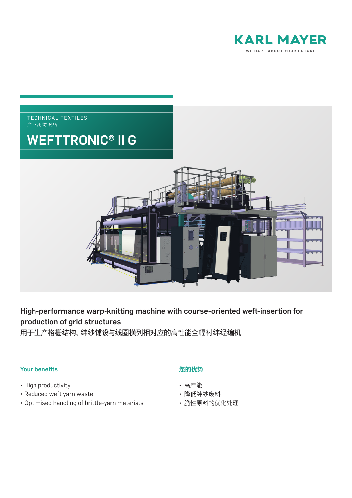



# High-performance warp-knitting machine with course-oriented weft-insertion for production of grid structures

用于生产格栅结构、纬纱铺设与线圈横列相对应的高性能全幅衬纬经编机

# Your benefits

- High productivity
- Reduced weft yarn waste
- Optimised handling of brittle-yarn materials

# 您的优势

- 高产能
- 降低纬纱废料
- 脆性原料的优化处理